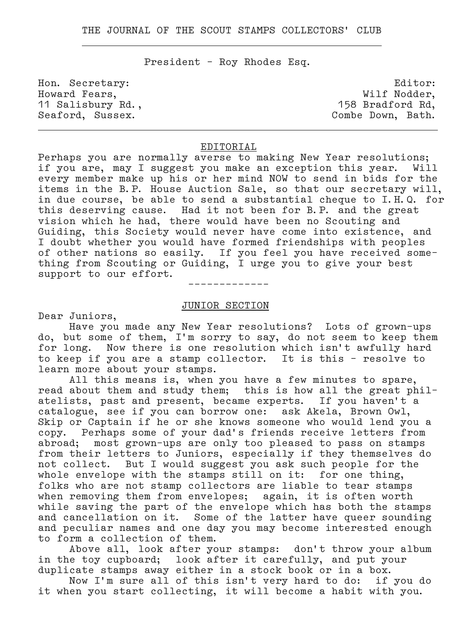President – Roy Rhodes Esq.

. .

Howard Fears,  $\qquad$  Wilf Nodder, 11 Salisbury Rd., 158 Bradford Rd, Seaford, Sussex. Combe Down, Bath.

Hon. Secretary:  $E$  Editor:

# EDITORIAL

.

Perhaps you are normally averse to making New Year resolutions; if you are, may I suggest you make an exception this year. Will every member make up his or her mind NOW to send in bids for the items in the B.P. House Auction Sale, so that our secretary will, in due course, be able to send a substantial cheque to I.H.Q. for this deserving cause. Had it not been for B.P. and the great vision which he had, there would have been no Scouting and Guiding, this Society would never have come into existence, and I doubt whether you would have formed friendships with peoples of other nations so easily. If you feel you have received some– thing from Scouting or Guiding, I urge you to give your best support to our effort.

–––––––––––––

#### JUNIOR SECTION

Dear Juniors,

 Have you made any New Year resolutions? Lots of grown–ups do, but some of them, I'm sorry to say, do not seem to keep them for long. Now there is one resolution which isn't awfully hard to keep if you are a stamp collector. It is this – resolve to learn more about your stamps.

 All this means is, when you have a few minutes to spare, read about them and study them; this is how all the great phil– atelists, past and present, became experts. If you haven't a catalogue, see if you can borrow one: ask Akela, Brown Owl, Skip or Captain if he or she knows someone who would lend you a copy. Perhaps some of your dad's friends receive letters from abroad; most grown–ups are only too pleased to pass on stamps from their letters to Juniors, especially if they themselves do not collect. But I would suggest you ask such people for the whole envelope with the stamps still on it: for one thing, folks who are not stamp collectors are liable to tear stamps when removing them from envelopes; again, it is often worth while saving the part of the envelope which has both the stamps and cancellation on it. Some of the latter have queer sounding and peculiar names and one day you may become interested enough to form a collection of them.

 Above all, look after your stamps: don't throw your album in the toy cupboard; look after it carefully, and put your duplicate stamps away either in a stock book or in a box.

 Now I'm sure all of this isn't very hard to do: if you do it when you start collecting, it will become a habit with you.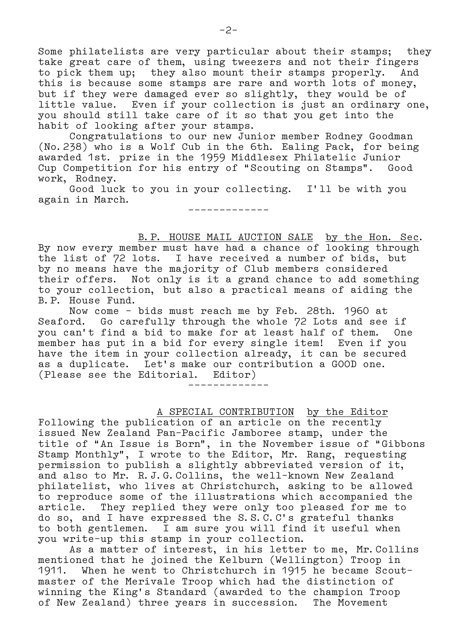Some philatelists are very particular about their stamps; they take great care of them, using tweezers and not their fingers to pick them up; they also mount their stamps properly. And this is because some stamps are rare and worth lots of money, but if they were damaged ever so slightly, they would be of little value. Even if your collection is just an ordinary one, you should still take care of it so that you get into the habit of looking after your stamps.

 Congratulations to our new Junior member Rodney Goodman (No.238) who is a Wolf Cub in the 6th. Ealing Pack, for being awarded 1st. prize in the 1959 Middlesex Philatelic Junior Cup Competition for his entry of "Scouting on Stamps". Good work, Rodney.

 Good luck to you in your collecting. I'll be with you again in March. –––––––––––––

 B.P. HOUSE MAIL AUCTION SALE by the Hon. Sec. By now every member must have had a chance of looking through the list of 72 lots. I have received a number of bids, but by no means have the majority of Club members considered their offers. Not only is it a grand chance to add something to your collection, but also a practical means of aiding the B.P. House Fund.

 Now come – bids must reach me by Feb. 28th. 1960 at Seaford. Go carefully through the whole 72 Lots and see if you can't find a bid to make for at least half of them. One member has put in a bid for every single item! Even if you have the item in your collection already, it can be secured as a duplicate. Let's make our contribution a GOOD one. (Please see the Editorial. Editor)

–––––––––––––

A SPECIAL CONTRIBUTION by the Editor

Following the publication of an article on the recently issued New Zealand Pan–Pacific Jamboree stamp, under the title of "An Issue is Born", in the November issue of "Gibbons Stamp Monthly", I wrote to the Editor, Mr. Rang, requesting permission to publish a slightly abbreviated version of it, and also to Mr. R.J.G.Collins, the well–known New Zealand philatelist, who lives at Christchurch, asking to be allowed to reproduce some of the illustrations which accompanied the article. They replied they were only too pleased for me to do so, and I have expressed the S.S.C.C's grateful thanks to both gentlemen. I am sure you will find it useful when you write–up this stamp in your collection.

 As a matter of interest, in his letter to me, Mr.Collins mentioned that he joined the Kelburn (Wellington) Troop in 1911. When he went to Christchurch in 1915 he became Scout– master of the Merivale Troop which had the distinction of winning the King's Standard (awarded to the champion Troop of New Zealand) three years in succession. The Movement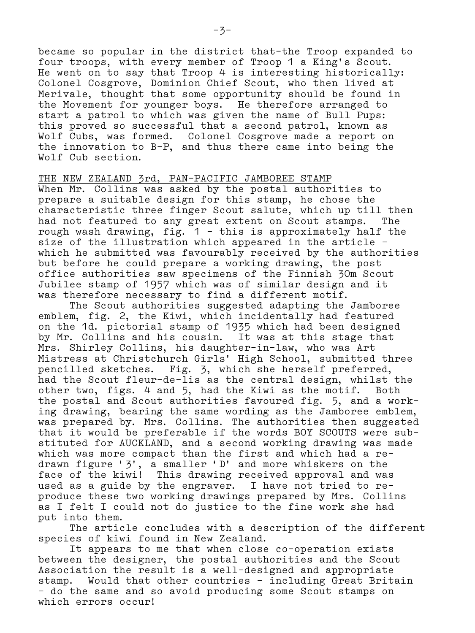became so popular in the district that–the Troop expanded to four troops, with every member of Troop 1 a King's Scout. He went on to say that Troop 4 is interesting historically: Colonel Cosgrove, Dominion Chief Scout, who then lived at Merivale, thought that some opportunity should be found in the Movement for younger boys. He therefore arranged to start a patrol to which was given the name of Bull Pups: this proved so successful that a second patrol, known as Wolf Cubs, was formed. Colonel Cosgrove made a report on the innovation to B–P, and thus there came into being the Wolf Cub section.

## THE NEW ZEALAND 3rd, PAN–PACIFIC JAMBOREE STAMP

When Mr. Collins was asked by the postal authorities to prepare a suitable design for this stamp, he chose the characteristic three finger Scout salute, which up till then had not featured to any great extent on Scout stamps. The rough wash drawing, fig. 1 – this is approximately half the size of the illustration which appeared in the article – which he submitted was favourably received by the authorities but before he could prepare a working drawing, the post office authorities saw specimens of the Finnish 30m Scout Jubilee stamp of 1957 which was of similar design and it was therefore necessary to find a different motif.

 The Scout authorities suggested adapting the Jamboree emblem, fig. 2, the Kiwi, which incidentally had featured on the 1d. pictorial stamp of 1935 which had been designed by Mr. Collins and his cousin. It was at this stage that Mrs. Shirley Collins, his daughter–in–law, who was Art Mistress at Christchurch Girls' High School, submitted three pencilled sketches. Fig. 3, which she herself preferred, had the Scout fleur–de–lis as the central design, whilst the other two, figs. 4 and 5, had the Kiwi as the motif. Both the postal and Scout authorities favoured fig. 5, and a work– ing drawing, bearing the same wording as the Jamboree emblem, was prepared by. Mrs. Collins. The authorities then suggested that it would be preferable if the words BOY SCOUTS were sub– stituted for AUCKLAND, and a second working drawing was made which was more compact than the first and which had a re– drawn figure '3', a smaller 'D' and more whiskers on the face of the kiwi! This drawing received approval and was used as a guide by the engraver. I have not tried to re– produce these two working drawings prepared by Mrs. Collins as I felt I could not do justice to the fine work she had put into them.

 The article concludes with a description of the different species of kiwi found in New Zealand.

 It appears to me that when close co–operation exists between the designer, the postal authorities and the Scout Association the result is a well–designed and appropriate stamp. Would that other countries – including Great Britain – do the same and so avoid producing some Scout stamps on which errors occur!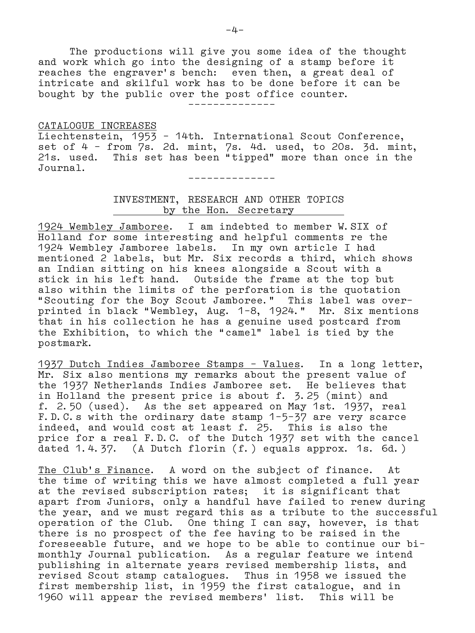The productions will give you some idea of the thought and work which go into the designing of a stamp before it reaches the engraver's bench: even then, a great deal of intricate and skilful work has to be done before it can be bought by the public over the post office counter. ––––––––––––––

#### CATALOGUE INCREASES

Liechtenstein, 1953 – 14th. International Scout Conference, set of 4 – from 7s. 2d. mint, 7s. 4d. used, to 20s. 3d. mint, 21s. used. This set has been "tipped" more than once in the Journal.

––––––––––––––

# INVESTMENT, RESEARCH AND OTHER TOPICS by the Hon. Secretary

1924 Wembley Jamboree. I am indebted to member W.SIX of Holland for some interesting and helpful comments re the 1924 Wembley Jamboree labels. In my own article I had mentioned 2 labels, but Mr. Six records a third, which shows an Indian sitting on his knees alongside a Scout with a stick in his left hand. Outside the frame at the top but also within the limits of the perforation is the quotation "Scouting for the Boy Scout Jamboree." This label was overprinted in black "Wembley, Aug. 1–8, 1924." Mr. Six mentions that in his collection he has a genuine used postcard from the Exhibition, to which the "camel" label is tied by the postmark.

1937 Dutch Indies Jamboree Stamps – Values. In a long letter, Mr. Six also mentions my remarks about the present value of the 1937 Netherlands Indies Jamboree set. He believes that in Holland the present price is about f. 3.25 (mint) and f. 2.50 (used). As the set appeared on May 1st. 1937, real F.D.C.s with the ordinary date stamp 1–5–37 are very scarce indeed, and would cost at least f. 25. This is also the price for a real F.D.C. of the Dutch 1937 set with the cancel dated 1.4.37. (A Dutch florin (f.) equals approx. 1s. 6d.)

The Club's Finance. A word on the subject of finance. At the time of writing this we have almost completed a full year at the revised subscription rates; it is significant that apart from Juniors, only a handful have failed to renew during the year, and we must regard this as a tribute to the successful operation of the Club. One thing I can say, however, is that there is no prospect of the fee having to be raised in the foreseeable future, and we hope to be able to continue our bi– monthly Journal publication. As a regular feature we intend publishing in alternate years revised membership lists, and revised Scout stamp catalogues. Thus in 1958 we issued the first membership list, in 1959 the first catalogue, and in 1960 will appear the revised members' list. This will be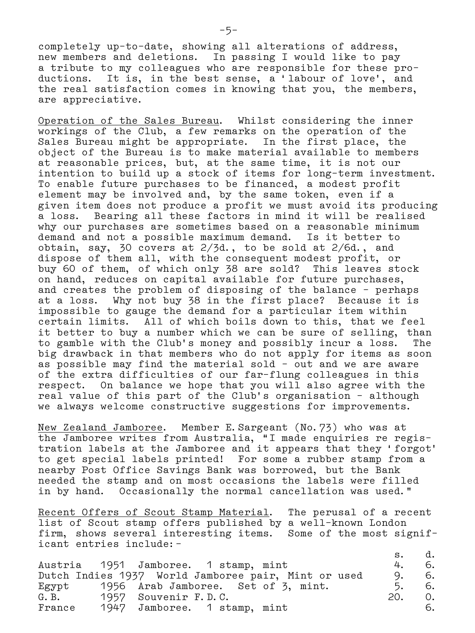completely up–to–date, showing all alterations of address, new members and deletions. In passing I would like to pay a tribute to my colleagues who are responsible for these pro– ductions. It is, in the best sense, a 'labour of love', and the real satisfaction comes in knowing that you, the members, are appreciative.

Operation of the Sales Bureau. Whilst considering the inner workings of the Club, a few remarks on the operation of the Sales Bureau might be appropriate. In the first place, the object of the Bureau is to make material available to members at reasonable prices, but, at the same time, it is not our intention to build up a stock of items for long–term investment. To enable future purchases to be financed, a modest profit element may be involved and, by the same token, even if a given item does not produce a profit we must avoid its producing a loss. Bearing all these factors in mind it will be realised why our purchases are sometimes based on a reasonable minimum demand and not a possible maximum demand. Is it better to obtain, say,  $30$  covers at  $2/3d$ ., to be sold at  $2/6d$ ., and dispose of them all, with the consequent modest profit, or buy 60 of them, of which only 38 are sold? This leaves stock on hand, reduces on capital available for future purchases, and creates the problem of disposing of the balance – perhaps at a loss. Why not buy 38 in the first place? Because it is impossible to gauge the demand for a particular item within certain limits. All of which boils down to this, that we feel it better to buy a number which we can be sure of selling, than to gamble with the Club's money and possibly incur a loss. The big drawback in that members who do not apply for items as soon as possible may find the material sold – out and we are aware of the extra difficulties of our far–flung colleagues in this respect. On balance we hope that you will also agree with the real value of this part of the Club's organisation – although we always welcome constructive suggestions for improvements.

New Zealand Jamboree. Member E.Sargeant (No.73) who was at the Jamboree writes from Australia, "I made enquiries re regis– tration labels at the Jamboree and it appears that they 'forgot' to get special labels printed! For some a rubber stamp from a nearby Post Office Savings Bank was borrowed, but the Bank needed the stamp and on most occasions the labels were filled in by hand. Occasionally the normal cancellation was used."

Recent Offers of Scout Stamp Material. The perusal of a recent list of Scout stamp offers published by a well–known London firm, shows several interesting items. Some of the most signif– icant entries include:–

|        |                                                     | $S_{\bullet}$ |      |
|--------|-----------------------------------------------------|---------------|------|
|        | Austria 1951 Jamboree. 1 stamp, mint                | 4.            | 6.   |
|        | Dutch Indies 1937 World Jamboree pair, Mint or used | 9.            | - 6. |
|        | Egypt 1956 Arab Jamboree. Set of 3, mint.           | 5.            | -6.  |
| G. B.  | 1957 Souvenir F.D.C.                                | 20.           | 0.   |
| France | 1947 Jamboree. 1 stamp, mint                        |               | 6.   |

–5–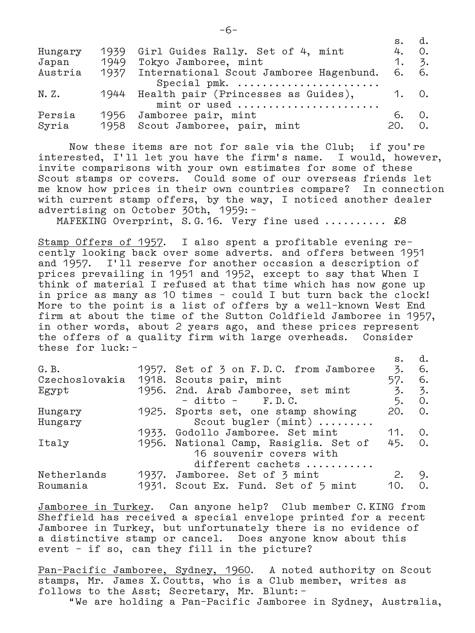|         |      |                                              | $S_{\bullet}$ | d.   |
|---------|------|----------------------------------------------|---------------|------|
| Hungary | 1939 | Girl Guides Rally. Set of 4, mint            | 4.            | 0.   |
| Japan   | 1949 | Tokyo Jamboree, mint                         | 1. 5.         |      |
| Austria |      | 1937 International Scout Jamboree Hagenbund. | 6. 6.         |      |
|         |      | Special pmk.                                 |               |      |
| N. Z.   |      | 1944 Health pair (Princesses as Guides),     | 1. 0.         |      |
|         |      | mint or used                                 |               |      |
| Persia  |      | 1956 Jamboree pair, mint                     | რ.            | - 0. |
| Syria   | 1958 | Scout Jamboree, pair, mint                   | 20.           | 0.   |

 Now these items are not for sale via the Club; if you're interested, I'll let you have the firm's name. I would, however, invite comparisons with your own estimates for some of these Scout stamps or covers. Could some of our overseas friends let me know how prices in their own countries compare? In connection with current stamp offers, by the way, I noticed another dealer advertising on October 30th, 1959:–

MAFEKING Overprint, S.G. 16. Very fine used .......... £8

Stamp Offers of 1957. I also spent a profitable evening re– cently looking back over some adverts. and offers between 1951 and 1957. I'll reserve for another occasion a description of prices prevailing in 1951 and 1952, except to say that When I think of material I refused at that time which has now gone up in price as many as 10 times – could I but turn back the clock! More to the point is a list of offers by a well–known West End firm at about the time of the Sutton Coldfield Jamboree in 1957, in other words, about 2 years ago, and these prices represent the offers of a quality firm with large overheads. Consider these for luck:–

|                                 |  |                                        | s.    | d.               |
|---------------------------------|--|----------------------------------------|-------|------------------|
| G.B.                            |  | 1957. Set of 3 on F.D.C. from Jamboree | 3.    | - 6.             |
| Czechoslovakia                  |  | 1918. Scouts pair, mint                | 57.   | -6.              |
| Egypt                           |  | 1956. 2nd. Arab Jamboree, set mint     | 3.    | 3.               |
|                                 |  | $-$ ditto $-$ F.D.C.                   | 5. 0. |                  |
| Hungary                         |  | 1925. Sports set, one stamp showing    | 20.   | 0.               |
| Scout bugler $(min)$<br>Hungary |  |                                        |       |                  |
|                                 |  | 1933. Godollo Jamboree. Set mint       | 11.   | 0.               |
| Italy                           |  | 1956. National Camp, Rasiglia. Set of  | 45.   | $\overline{0}$ . |
|                                 |  | 16 souvenir covers with                |       |                  |
|                                 |  | different cachets                      |       |                  |
| Netherlands                     |  | 1937. Jamboree. Set of 3 mint          | 2. 9. |                  |
| Roumania                        |  | 1931. Scout Ex. Fund. Set of 5 mint    | 10.   | 0.               |
|                                 |  |                                        |       |                  |

Jamboree in Turkey. Can anyone help? Club member C.KING from Sheffield has received a special envelope printed for a recent Jamboree in Turkey, but unfortunately there is no evidence of a distinctive stamp or cancel. Does anyone know about this event – if so, can they fill in the picture?

Pan-Pacific Jamboree, Sydney, 1960. A noted authority on Scout stamps, Mr. James X.Coutts, who is a Club member, writes as follows to the Asst; Secretary, Mr. Blunt:– "We are holding a Pan–Pacific Jamboree in Sydney, Australia,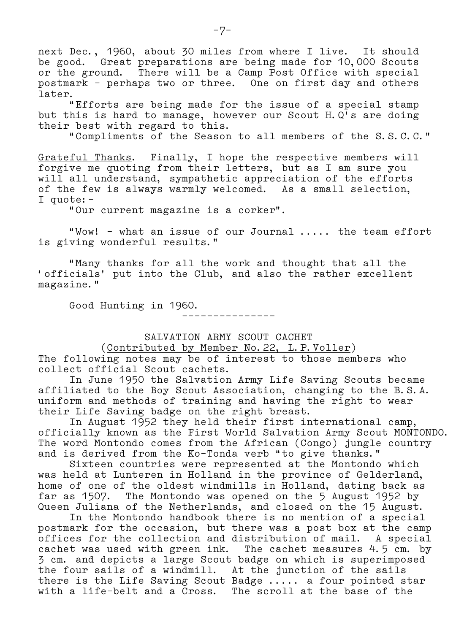next Dec., 1960, about 30 miles from where I live. It should be good. Great preparations are being made for 10,000 Scouts or the ground. There will be a Camp Post Office with special postmark – perhaps two or three. One on first day and others later.

 "Efforts are being made for the issue of a special stamp but this is hard to manage, however our Scout H.Q's are doing their best with regard to this.

"Compliments of the Season to all members of the S.S.C.C."

Grateful Thanks. Finally, I hope the respective members will forgive me quoting from their letters, but as I am sure you will all understand, sympathetic appreciation of the efforts of the few is always warmly welcomed. As a small selection, I quote:–

"Our current magazine is a corker".

 "Wow! – what an issue of our Journal ..... the team effort is giving wonderful results."

 "Many thanks for all the work and thought that all the 'officials' put into the Club, and also the rather excellent magazine."

Good Hunting in 1960.

–––––––––––––––

SALVATION ARMY SCOUT CACHET

(Contributed by Member No.22, L.P.Voller)

The following notes may be of interest to those members who collect official Scout cachets.

 In June 1950 the Salvation Army Life Saving Scouts became affiliated to the Boy Scout Association, changing to the B.S.A. uniform and methods of training and having the right to wear their Life Saving badge on the right breast.

 In August 1952 they held their first international camp, officially known as the First World Salvation Army Scout MONTONDO. The word Montondo comes from the African (Congo) jungle country and is derived from the Ko–Tonda verb "to give thanks."

 Sixteen countries were represented at the Montondo which was held at Lunteren in Holland in the province of Gelderland, home of one of the oldest windmills in Holland, dating back as far as 1507. The Montondo was opened on the 5 August 1952 by Queen Juliana of the Netherlands, and closed on the 15 August.

 In the Montondo handbook there is no mention of a special postmark for the occasion, but there was a post box at the camp offices for the collection and distribution of mail. A special cachet was used with green ink. The cachet measures 4.5 cm. by 3 cm. and depicts a large Scout badge on which is superimposed the four sails of a windmill. At the junction of the sails there is the Life Saving Scout Badge ..... a four pointed star with a life–belt and a Cross. The scroll at the base of the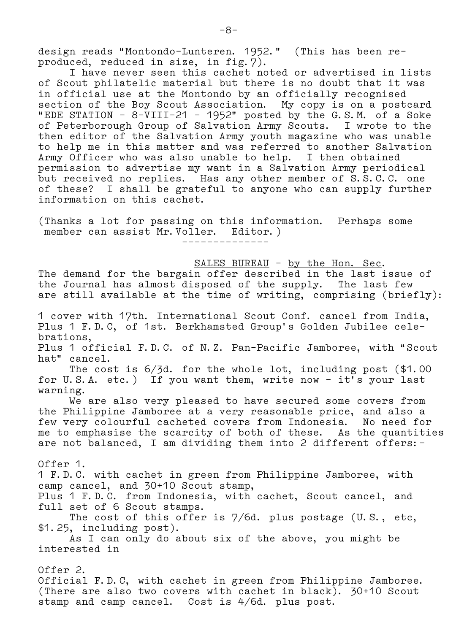design reads "Montondo–Lunteren. 1952." (This has been re– produced, reduced in size, in fig.7).

 I have never seen this cachet noted or advertised in lists of Scout philatelic material but there is no doubt that it was in official use at the Montondo by an officially recognised section of the Boy Scout Association. My copy is on a postcard "EDE STATION – 8–VIII–21 – 1952" posted by the G.S.M. of a Soke of Peterborough Group of Salvation Army Scouts. I wrote to the then editor of the Salvation Army youth magazine who was unable to help me in this matter and was referred to another Salvation Army Officer who was also unable to help. I then obtained permission to advertise my want in a Salvation Army periodical but received no replies. Has any other member of S.S.C.C. one of these? I shall be grateful to anyone who can supply further information on this cachet.

(Thanks a lot for passing on this information. Perhaps some member can assist Mr. Voller. Editor.) ––––––––––––––

SALES BUREAU – by the Hon. Sec.

The demand for the bargain offer described in the last issue of the Journal has almost disposed of the supply. The last few are still available at the time of writing, comprising (briefly):

1 cover with 17th. International Scout Conf. cancel from India, Plus 1 F.D.C, of 1st. Berkhamsted Group's Golden Jubilee cele– brations,

Plus 1 official F.D.C. of N.Z. Pan–Pacific Jamboree, with "Scout hat" cancel.

 The cost is 6/3d. for the whole lot, including post (\$1.00 for U.S.A. etc.) If you want them, write now – it's your last warning.

 We are also very pleased to have secured some covers from the Philippine Jamboree at a very reasonable price, and also a few very colourful cacheted covers from Indonesia. No need for me to emphasise the scarcity of both of these. As the quantities are not balanced, I am dividing them into 2 different offers:–

Offer 1.

1 F.D.C. with cachet in green from Philippine Jamboree, with camp cancel, and 30+10 Scout stamp, Plus 1 F.D.C. from Indonesia, with cachet, Scout cancel, and full set of 6 Scout stamps.

 The cost of this offer is 7/6d. plus postage (U.S., etc, \$1.25, including post).

 As I can only do about six of the above, you might be interested in

<u>Offer 2</u>. Official F.D.C, with cachet in green from Philippine Jamboree. (There are also two covers with cachet in black). 30+10 Scout stamp and camp cancel. Cost is 4/6d. plus post.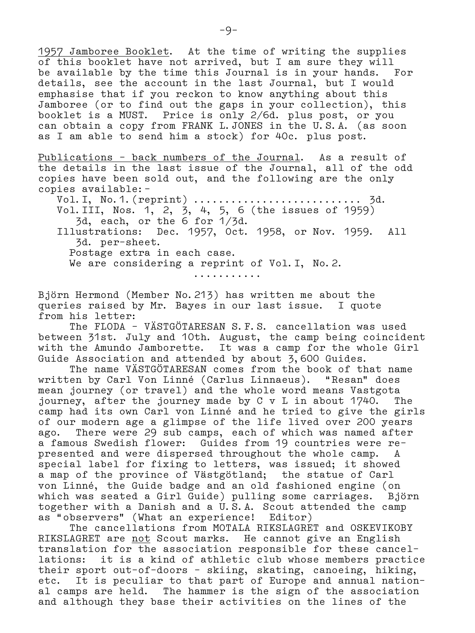1957 Jamboree Booklet. At the time of writing the supplies of this booklet have not arrived, but I am sure they will be available by the time this Journal is in your hands. For details, see the account in the last Journal, but I would emphasise that if you reckon to know anything about this Jamboree (or to find out the gaps in your collection), this booklet is a MUST. Price is only 2/6d. plus post, or you can obtain a copy from FRANK L.JONES in the U.S.A. (as soon as I am able to send him a stock) for 40c. plus post.

Publications – back numbers of the Journal. As a result of the details in the last issue of the Journal, all of the odd copies have been sold out, and the following are the only copies available:–

 Vol.I, No.1.(reprint) ........................... 3d. Vol.III, Nos. 1, 2, 3, 4, 5, 6 (the issues of 1959) 3d, each, or the 6 for 1/3d. Illustrations: Dec. 1957, Oct. 1958, or Nov. 1959. All 3d. per–sheet. Postage extra in each case. We are considering a reprint of Vol. I, No. 2.

...........

Björn Hermond (Member No.213) has written me about the queries raised by Mr. Bayes in our last issue. I quote from his letter:

 The FLODA – VÄSTGÖTARESAN S.F.S. cancellation was used between 31st. July and 10th. August, the camp being coincident with the Amundo Jamborette. It was a camp for the whole Girl Guide Association and attended by about 3,600 Guides.

 The name VÄSTGÖTARESAN comes from the book of that name written by Carl Von Linné (Carlus Linnaeus). "Resan" does mean journey (or travel) and the whole word means Vastgota journey, after the journey made by C v L in about 1740. The camp had its own Carl von Linné and he tried to give the girls of our modern age a glimpse of the life lived over 200 years ago. There were 29 sub camps, each of which was named after a famous Swedish flower: Guides from 19 countries were re– presented and were dispersed throughout the whole camp. A special label for fixing to letters, was issued; it showed a map of the province of Västgötland; the statue of Carl von Linné, the Guide badge and an old fashioned engine (on which was seated a Girl Guide) pulling some carriages. Björn together with a Danish and a U.S.A. Scout attended the camp as "observers" (What an experience! Editor)

 The cancellations from MOTALA RIKSLAGRET and OSKEVIKOBY RIKSLAGRET are not Scout marks. He cannot give an English translation for the association responsible for these cancel– lations: it is a kind of athletic club whose members practice their sport out–of–doors – skiing, skating, canoeing, hiking, etc. It is peculiar to that part of Europe and annual nation– al camps are held. The hammer is the sign of the association and although they base their activities on the lines of the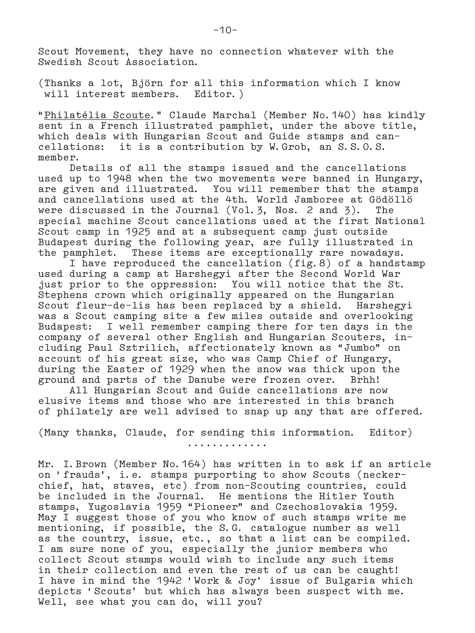Scout Movement, they have no connection whatever with the Swedish Scout Association.

(Thanks a lot, Björn for all this information which I know will interest members. Editor.)

"Philatélia Scoute." Claude Marchal (Member No.140) has kindly sent in a French illustrated pamphlet, under the above title, which deals with Hungarian Scout and Guide stamps and can– cellations: it is a contribution by W.Grob, an S.S.O.S. member.

 Details of all the stamps issued and the cancellations used up to 1948 when the two movements were banned in Hungary, are given and illustrated. You will remember that the stamps and cancellations used at the 4th. World Jamboree at Gödöllö were discussed in the Journal (Vol.3, Nos. 2 and 3). The special machine Scout cancellations used at the first National Scout camp in 1925 and at a subsequent camp just outside Budapest during the following year, are fully illustrated in the pamphlet. These items are exceptionally rare nowadays.

 I have reproduced the cancellation (fig.8) of a handstamp used during a camp at Harshegyi after the Second World War just prior to the oppression: You will notice that the St. Stephens crown which originally appeared on the Hungarian Scout fleur–de–lis has been replaced by a shield. Harshegyi was a Scout camping site a few miles outside and overlooking Budapest: I well remember camping there for ten days in the company of several other English and Hungarian Scouters, in– cluding Paul Sztrilich, affectionately known as "Jumbo" on account of his great size, who was Camp Chief of Hungary, during the Easter of 1929 when the snow was thick upon the ground and parts of the Danube were frozen over. Brhh!

 All Hungarian Scout and Guide cancellations are now elusive items and those who are interested in this branch of philately are well advised to snap up any that are offered.

(Many thanks, Claude, for sending this information. Editor)

.............

Mr. I.Brown (Member No.164) has written in to ask if an article on 'frauds', i.e. stamps purporting to show Scouts (necker– chief, hat, staves, etc) from non–Scouting countries, could be included in the Journal. He mentions the Hitler Youth stamps, Yugoslavia 1959 "Pioneer" and Czechoslovakia 1959. May I suggest those of you who know of such stamps write me mentioning, if possible, the S.G. catalogue number as well as the country, issue, etc., so that a list can be compiled. I am sure none of you, especially the junior members who collect Scout stamps would wish to include any such items in their collection and even the rest of us can be caught! I have in mind the 1942 'Work & Joy' issue of Bulgaria which depicts 'Scouts' but which has always been suspect with me. Well, see what you can do, will you?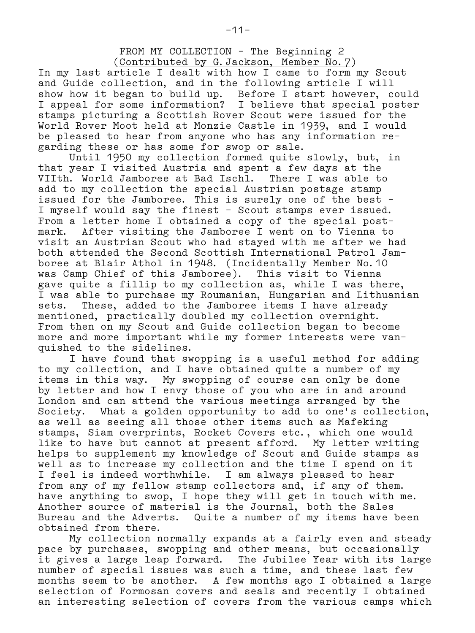FROM MY COLLECTION – The Beginning 2 (Contributed by G.Jackson, Member No.7)

In my last article I dealt with how I came to form my Scout and Guide collection, and in the following article I will show how it began to build up. Before I start however, could I appeal for some information? I believe that special poster stamps picturing a Scottish Rover Scout were issued for the World Rover Moot held at Monzie Castle in 1939, and I would be pleased to hear from anyone who has any information re– garding these or has some for swop or sale.

 Until 1950 my collection formed quite slowly, but, in that year I visited Austria and spent a few days at the VIIth. World Jamboree at Bad Ischl. There I was able to add to my collection the special Austrian postage stamp issued for the Jamboree. This is surely one of the best – I myself would say the finest – Scout stamps ever issued. From a letter home I obtained a copy of the special post– mark. After visiting the Jamboree I went on to Vienna to visit an Austrian Scout who had stayed with me after we had both attended the Second Scottish International Patrol Jam– boree at Blair Athol in 1948. (Incidentally Member No.10 was Camp Chief of this Jamboree). This visit to Vienna gave quite a fillip to my collection as, while I was there, I was able to purchase my Roumanian, Hungarian and Lithuanian sets. These, added to the Jamboree items I have already mentioned, practically doubled my collection overnight. From then on my Scout and Guide collection began to become more and more important while my former interests were van– quished to the sidelines.

 I have found that swopping is a useful method for adding to my collection, and I have obtained quite a number of my items in this way. My swopping of course can only be done by letter and how I envy those of you who are in and around London and can attend the various meetings arranged by the Society. What a golden opportunity to add to one's collection, as well as seeing all those other items such as Mafeking stamps, Siam overprints, Rocket Covers etc., which one would like to have but cannot at present afford. My letter writing helps to supplement my knowledge of Scout and Guide stamps as well as to increase my collection and the time I spend on it I feel is indeed worthwhile. I am always pleased to hear from any of my fellow stamp collectors and, if any of them. have anything to swop, I hope they will get in touch with me. Another source of material is the Journal, both the Sales Bureau and the Adverts. Quite a number of my items have been obtained from there.

 My collection normally expands at a fairly even and steady pace by purchases, swopping and other means, but occasionally it gives a large leap forward. The Jubilee Year with its large number of special issues was such a time, and these last few months seem to be another. A few months ago I obtained a large selection of Formosan covers and seals and recently I obtained an interesting selection of covers from the various camps which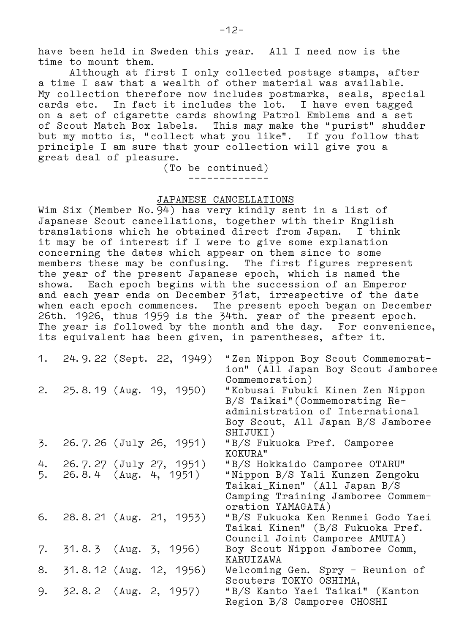have been held in Sweden this year. All I need now is the time to mount them.

 Although at first I only collected postage stamps, after a time I saw that a wealth of other material was available. My collection therefore now includes postmarks, seals, special cards etc. In fact it includes the lot. I have even tagged on a set of cigarette cards showing Patrol Emblems and a set of Scout Match Box labels. This may make the "purist" shudder but my motto is, "collect what you like". If you follow that principle I am sure that your collection will give you a great deal of pleasure.

 (To be continued) –––––––––––––

# JAPANESE CANCELLATIONS

Wim Six (Member No.94) has very kindly sent in a list of Japanese Scout cancellations, together with their English translations which he obtained direct from Japan. I think it may be of interest if I were to give some explanation concerning the dates which appear on them since to some members these may be confusing. The first figures represent the year of the present Japanese epoch, which is named the showa. Each epoch begins with the succession of an Emperor and each year ends on December 31st, irrespective of the date when each epoch commences. The present epoch began on December 26th. 1926, thus 1959 is the 34th. year of the present epoch. The year is followed by the month and the day. For convenience, its equivalent has been given, in parentheses, after it.

|    |  | 1. 24.9.22 (Sept. 22, 1949) | "Zen Nippon Boy Scout Commemorat-<br>ion" (All Japan Boy Scout Jamboree<br>Commemoration)                                                              |
|----|--|-----------------------------|--------------------------------------------------------------------------------------------------------------------------------------------------------|
|    |  | 2. 25.8.19 (Aug. 19, 1950)  | "Kobusai Fubuki Kinen Zen Nippon<br>B/S Taikai" (Commemorating Re-<br>administration of International<br>Boy Scout, All Japan B/S Jamboree<br>SHIJUKI) |
| 3. |  | 26.7.26 (July 26, 1951)     | "B/S Fukuoka Pref. Camporee<br>KOKURA"                                                                                                                 |
| 4. |  | 26.7.27 (July 27, 1951)     | "B/S Hokkaido Camporee OTARU"                                                                                                                          |
|    |  | 5. 26.8.4 (Aug. 4, 1951)    | "Nippon B/S Yali Kunzen Zengoku<br>Taikai_Kinen" (All Japan B/S<br>Camping Training Jamboree Commem-<br>oration YAMAGATA)                              |
|    |  | 6. 28.8.21 (Aug. 21, 1953)  | "B/S Fukuoka Ken Renmei Godo Yaei<br>Taikai Kinen" (B/S Fukuoka Pref.<br>Council Joint Camporee AMUTA)                                                 |
| 7. |  | 31.8.3 (Aug. 3, 1956)       | Boy Scout Nippon Jamboree Comm,<br>KARUIZAWA                                                                                                           |
| 8. |  | 31.8.12 (Aug. 12, 1956)     | Welcoming Gen. Spry - Reunion of<br>Scouters TOKYO OSHIMA,                                                                                             |
| 9. |  | 32.8.2 (Aug. 2, 1957)       | "B/S Kanto Yaei Taikai" (Kanton<br>Region B/S Camporee CHOSHI                                                                                          |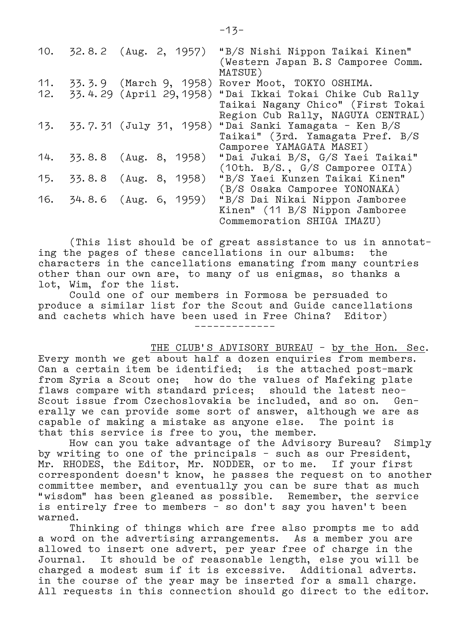|     | 10. 32.8.2 (Aug. 2, 1957) |                        | "B/S Nishi Nippon Taikai Kinen"<br>(Western Japan B.S Camporee Comm.<br>MATSUE) |
|-----|---------------------------|------------------------|---------------------------------------------------------------------------------|
| 11. |                           | 33.3.9 (March 9, 1958) | Rover Moot, TOKYO OSHIMA.                                                       |
| 12. |                           |                        | 33.4.29 (April 29, 1958) "Dai Ikkai Tokai Chike Cub Rally                       |
|     |                           |                        | Taikai Nagany Chico" (First Tokai                                               |
|     |                           |                        | Region Cub Rally, NAGUYA CENTRAL)                                               |
|     |                           |                        | 13. 33.7.31 (July 31, 1958) "Dai Sanki Yamagata - Ken B/S                       |
|     |                           |                        | Taikai" (3rd. Yamagata Pref. B/S                                                |
|     |                           |                        | Camporee YAMAGATA MASEI)                                                        |
|     | 14. 33.8.8 (Aug. 8, 1958) |                        | "Dai Jukai B/S, G/S Yaei Taikai"                                                |
|     |                           |                        | (10th. B/S., G/S Camporee OITA)                                                 |
|     | 15. 33.8.8 (Aug. 8, 1958) |                        | "B/S Yaei Kunzen Taikai Kinen"                                                  |
|     |                           |                        | (B/S Osaka Camporee YONONAKA)                                                   |
|     | 16. 34.8.6 (Aug. 6, 1959) |                        | "B/S Dai Nikai Nippon Jamboree                                                  |
|     |                           |                        | Kinen" (11 B/S Nippon Jamboree                                                  |
|     |                           |                        | Commemoration SHIGA IMAZU)                                                      |

 (This list should be of great assistance to us in annotat– ing the pages of these cancellations in our albums: the characters in the cancellations emanating from many countries other than our own are, to many of us enigmas, so thanks a lot, Wim, for the list.

 Could one of our members in Formosa be persuaded to produce a similar list for the Scout and Guide cancellations and cachets which have been used in Free China? Editor) –––––––––––––

THE CLUB'S ADVISORY BUREAU - by the Hon. Sec.

Every month we get about half a dozen enquiries from members. Can a certain item be identified; is the attached post–mark from Syria a Scout one; how do the values of Mafeking plate flaws compare with standard prices; should the latest neo– Scout issue from Czechoslovakia be included, and so on. Gen– erally we can provide some sort of answer, although we are as capable of making a mistake as anyone else. The point is that this service is free to you, the member.

 How can you take advantage of the Advisory Bureau? Simply by writing to one of the principals – such as our President, Mr. RHODES, the Editor, Mr. NODDER, or to me. If your first correspondent doesn't know, he passes the request on to another committee member, and eventually you can be sure that as much "wisdom" has been gleaned as possible. Remember, the service is entirely free to members – so don't say you haven't been warned.

 Thinking of things which are free also prompts me to add a word on the advertising arrangements. As a member you are allowed to insert one advert, per year free of charge in the Journal. It should be of reasonable length, else you will be charged a modest sum if it is excessive. Additional adverts. in the course of the year may be inserted for a small charge. All requests in this connection should go direct to the editor.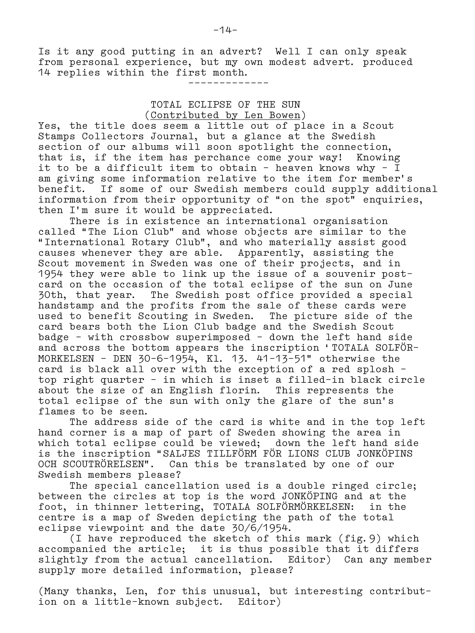Is it any good putting in an advert? Well I can only speak from personal experience, but my own modest advert. produced 14 replies within the first month.

–––––––––––––

 TOTAL ECLIPSE OF THE SUN (Contributed by Len Bowen)

Yes, the title does seem a little out of place in a Scout Stamps Collectors Journal, but a glance at the Swedish section of our albums will soon spotlight the connection, that is, if the item has perchance come your way! Knowing it to be a difficult item to obtain – heaven knows why – I am giving some information relative to the item for member's benefit. If some of our Swedish members could supply additional information from their opportunity of "on the spot" enquiries, then I'm sure it would be appreciated.

 There is in existence an international organisation called "The Lion Club" and whose objects are similar to the "International Rotary Club", and who materially assist good causes whenever they are able. Apparently, assisting the Scout movement in Sweden was one of their projects, and in 1954 they were able to link up the issue of a souvenir post– card on the occasion of the total eclipse of the sun on June 30th, that year. The Swedish post office provided a special handstamp and the profits from the sale of these cards were used to benefit Scouting in Sweden. The picture side of the card bears both the Lion Club badge and the Swedish Scout badge – with crossbow superimposed – down the left hand side and across the bottom appears the inscription 'TOTALA SOLFÖR– MORKELSEN – DEN 30–6–1954, Kl. 13. 41–13–51" otherwise the card is black all over with the exception of a red splosh – top right quarter – in which is inset a filled–in black circle about the size of an English florin. This represents the total eclipse of the sun with only the glare of the sun's flames to be seen.

 The address side of the card is white and in the top left hand corner is a map of part of Sweden showing the area in which total eclipse could be viewed; down the left hand side is the inscription "SALJES TILLFÖRM FÖR LIONS CLUB JONKÖPINS OCH SCOUTRÖRELSEN". Can this be translated by one of our Swedish members please?

 The special cancellation used is a double ringed circle; between the circles at top is the word JONKÖPING and at the foot, in thinner lettering, TOTALA SOLFÖRMÖRKELSEN: in the centre is a map of Sweden depicting the path of the total eclipse viewpoint and the date 30/6/1954.

 (I have reproduced the sketch of this mark (fig.9) which accompanied the article; it is thus possible that it differs slightly from the actual cancellation. Editor) Can any member supply more detailed information, please?

(Many thanks, Len, for this unusual, but interesting contribut– ion on a little–known subject. Editor)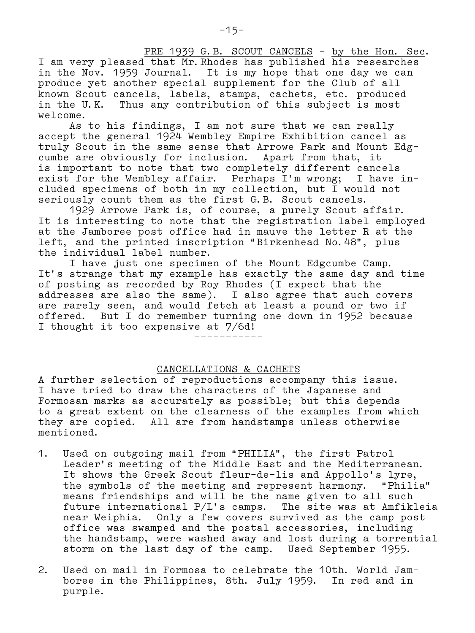PRE 1939 G.B. SCOUT CANCELS - by the Hon. Sec. I am very pleased that Mr.Rhodes has published his researches in the Nov. 1959 Journal. It is my hope that one day we can produce yet another special supplement for the Club of all known Scout cancels, labels, stamps, cachets, etc. produced in the U.K. Thus any contribution of this subject is most welcome.

 As to his findings, I am not sure that we can really accept the general 1924 Wembley Empire Exhibition cancel as truly Scout in the same sense that Arrowe Park and Mount Edg– cumbe are obviously for inclusion. Apart from that, it is important to note that two completely different cancels exist for the Wembley affair. Perhaps I'm wrong; I have in– cluded specimens of both in my collection, but I would not seriously count them as the first G.B. Scout cancels.

 1929 Arrowe Park is, of course, a purely Scout affair. It is interesting to note that the registration label employed at the Jamboree post office had in mauve the letter R at the left, and the printed inscription "Birkenhead No.48", plus the individual label number.

 I have just one specimen of the Mount Edgcumbe Camp. It's strange that my example has exactly the same day and time of posting as recorded by Roy Rhodes (I expect that the addresses are also the same). I also agree that such covers are rarely seen, and would fetch at least a pound or two if offered. But I do remember turning one down in 1952 because I thought it too expensive at 7/6d!

–––––––––––

### CANCELLATIONS & CACHETS

A further selection of reproductions accompany this issue. I have tried to draw the characters of the Japanese and Formosan marks as accurately as possible; but this depends to a great extent on the clearness of the examples from which they are copied. All are from handstamps unless otherwise mentioned.

- 1. Used on outgoing mail from "PHILIA", the first Patrol Leader's meeting of the Middle East and the Mediterranean. It shows the Greek Scout fleur–de–lis and Appollo's lyre, the symbols of the meeting and represent harmony. "Philia" means friendships and will be the name given to all such future international P/L's camps. The site was at Amfikleia near Weiphia. Only a few covers survived as the camp post office was swamped and the postal accessories, including the handstamp, were washed away and lost during a torrential storm on the last day of the camp. Used September 1955.
- 2. Used on mail in Formosa to celebrate the 10th. World Jam– boree in the Philippines, 8th. July 1959. In red and in purple.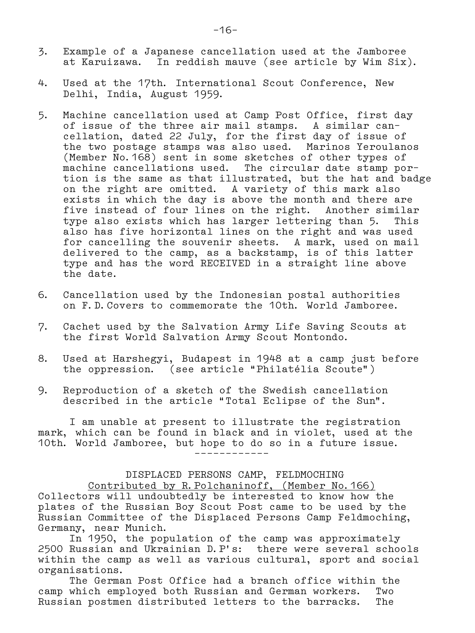- 3. Example of a Japanese cancellation used at the Jamboree at Karuizawa. In reddish mauve (see article by Wim Six).
- 4. Used at the 17th. International Scout Conference, New Delhi, India, August 1959.
- 5. Machine cancellation used at Camp Post Office, first day of issue of the three air mail stamps. A similar can– cellation, dated 22 July, for the first day of issue of the two postage stamps was also used. Marinos Yeroulanos (Member No.168) sent in some sketches of other types of machine cancellations used. The circular date stamp por– tion is the same as that illustrated, but the hat and badge on the right are omitted. A variety of this mark also exists in which the day is above the month and there are five instead of four lines on the right. Another similar type also exists which has larger lettering than 5. This also has five horizontal lines on the right and was used for cancelling the souvenir sheets. A mark, used on mail delivered to the camp, as a backstamp, is of this latter type and has the word RECEIVED in a straight line above the date.
- 6. Cancellation used by the Indonesian postal authorities on F.D.Covers to commemorate the 10th. World Jamboree.
- 7. Cachet used by the Salvation Army Life Saving Scouts at the first World Salvation Army Scout Montondo.
- 8. Used at Harshegyi, Budapest in 1948 at a camp just before the oppression. (see article "Philatélia Scoute")
- 9. Reproduction of a sketch of the Swedish cancellation described in the article "Total Eclipse of the Sun".

 I am unable at present to illustrate the registration mark, which can be found in black and in violet, used at the 10th. World Jamboree, but hope to do so in a future issue. ––––––––––––

 DISPLACED PERSONS CAMP, FELDMOCHING Contributed by R.Polchaninoff, (Member No.166) Collectors will undoubtedly be interested to know how the plates of the Russian Boy Scout Post came to be used by the Russian Committee of the Displaced Persons Camp Feldmoching, Germany, near Munich.

 In 1950, the population of the camp was approximately 2500 Russian and Ukrainian D.P's: there were several schools within the camp as well as various cultural, sport and social organisations.

 The German Post Office had a branch office within the camp which employed both Russian and German workers. Two Russian postmen distributed letters to the barracks. The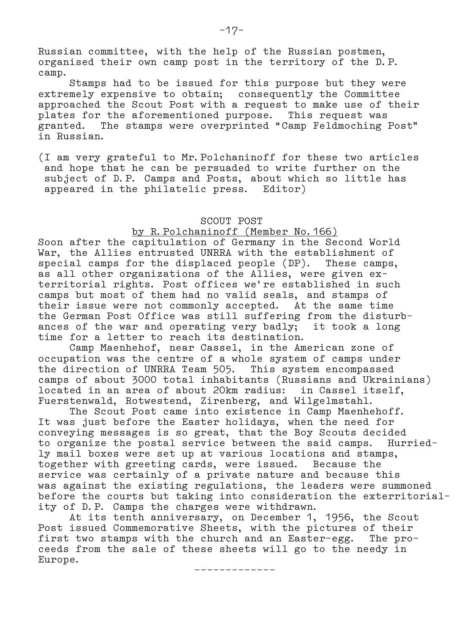Russian committee, with the help of the Russian postmen, organised their own camp post in the territory of the D.P. camp.

 Stamps had to be issued for this purpose but they were extremely expensive to obtain; consequently the Committee approached the Scout Post with a request to make use of their plates for the aforementioned purpose. This request was granted. The stamps were overprinted "Camp Feldmoching Post" in Russian.

(I am very grateful to Mr.Polchaninoff for these two articles and hope that he can be persuaded to write further on the subject of D.P. Camps and Posts, about which so little has appeared in the philatelic press. Editor)

## SCOUT POST

# by R.Polchaninoff (Member No.166)

Soon after the capitulation of Germany in the Second World War, the Allies entrusted UNRRA with the establishment of special camps for the displaced people (DP). These camps, as all other organizations of the Allies, were given ex– territorial rights. Post offices we're established in such camps but most of them had no valid seals, and stamps of their issue were not commonly accepted. At the same time the German Post Office was still suffering from the disturb– ances of the war and operating very badly; it took a long time for a letter to reach its destination.

 Camp Maenhehof, near Cassel, in the American zone of occupation was the centre of a whole system of camps under the direction of UNRRA Team 505. This system encompassed camps of about 3000 total inhabitants (Russians and Ukrainians) located in an area of about 20km radius: in Cassel itself, Fuerstenwald, Rotwestend, Zirenberg, and Wilgelmstahl.

 The Scout Post came into existence in Camp Maenhehoff. It was just before the Easter holidays, when the need for conveying messages is so great, that the Boy Scouts decided to organize the postal service between the said camps. Hurried– ly mail boxes were set up at various locations and stamps, together with greeting cards, were issued. Because the service was certainly of a private nature and because this was against the existing regulations, the leaders were summoned before the courts but taking into consideration the exterritorial– ity of D.P. Camps the charges were withdrawn.

 At its tenth anniversary, on December 1, 1956, the Scout Post issued Commemorative Sheets, with the pictures of their first two stamps with the church and an Easter–egg. The pro– ceeds from the sale of these sheets will go to the needy in Europe.

–––––––––––––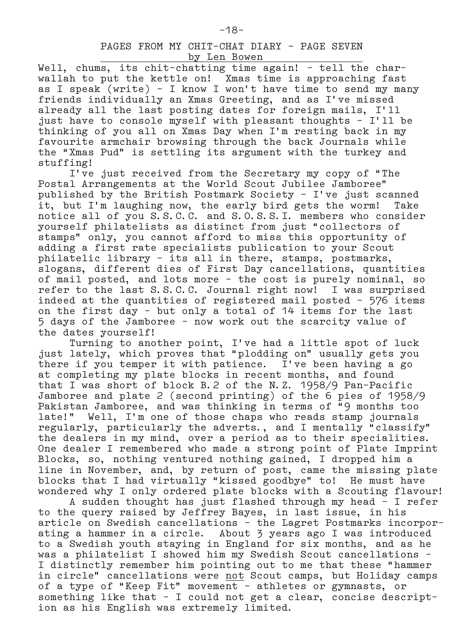Well, chums, its chit-chatting time again! - tell the charwallah to put the kettle on! Xmas time is approaching fast as I speak (write) – I know I won't have time to send my many friends individually an Xmas Greeting, and as I've missed already all the last posting dates for foreign mails, I'll just have to console myself with pleasant thoughts – I'll be thinking of you all on Xmas Day when I'm resting back in my favourite armchair browsing through the back Journals while the "Xmas Pud" is settling its argument with the turkey and stuffing!

 I've just received from the Secretary my copy of "The Postal Arrangements at the World Scout Jubilee Jamboree" published by the British Postmark Society – I've just scanned it, but I'm laughing now, the early bird gets the worm! Take notice all of you S.S.C.C. and S.O.S.S.I. members who consider yourself philatelists as distinct from just "collectors of stamps" only, you cannot afford to miss this opportunity of adding a first rate specialists publication to your Scout philatelic library – its all in there, stamps, postmarks, slogans, different dies of First Day cancellations, quantities of mail posted, and lots more – the cost is purely nominal, so refer to the last S.S.C.C. Journal right now! I was surprised indeed at the quantities of registered mail posted – 576 items on the first day – but only a total of 14 items for the last 5 days of the Jamboree – now work out the scarcity value of the dates yourself!

 Turning to another point, I've had a little spot of luck just lately, which proves that "plodding on" usually gets you there if you temper it with patience. I've been having a go at completing my plate blocks in recent months, and found that I was short of block B.2 of the N.Z. 1958/9 Pan–Pacific Jamboree and plate 2 (second printing) of the 6 pies of 1958/9 Pakistan Jamboree, and was thinking in terms of "9 months too late!" Well, I'm one of those chaps who reads stamp journals regularly, particularly the adverts., and I mentally "classify" the dealers in my mind, over a period as to their specialities. One dealer I remembered who made a strong point of Plate Imprint Blocks, so, nothing ventured nothing gained, I dropped him a line in November, and, by return of post, came the missing plate blocks that I had virtually "kissed goodbye" to! He must have wondered why I only ordered plate blocks with a Scouting flavour!

 A sudden thought has just flashed through my head – I refer to the query raised by Jeffrey Bayes, in last issue, in his article on Swedish cancellations – the Lagret Postmarks incorpor– ating a hammer in a circle. About 3 years ago I was introduced to a Swedish youth staying in England for six months, and as he was a philatelist I showed him my Swedish Scout cancellations – I distinctly remember him pointing out to me that these "hammer in circle" cancellations were not Scout camps, but Holiday camps of a type of "Keep Fit" movement – athletes or gymnasts, or something like that – I could not get a clear, concise descript– ion as his English was extremely limited.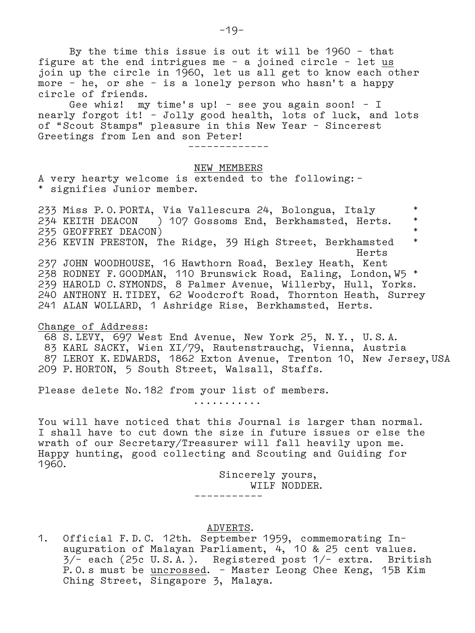By the time this issue is out it will be 1960 – that figure at the end intrigues me  $-$  a joined circle  $-$  let  $us$ </u> join up the circle in 1960, let us all get to know each other more – he, or she – is a lonely person who hasn't a happy circle of friends.

 Gee whiz! my time's up! – see you again soon! – I nearly forgot it! – Jolly good health, lots of luck, and lots of "Scout Stamps" pleasure in this New Year – Sincerest Greetings from Len and son Peter!

–––––––––––––

#### NEW MEMBERS

A very hearty welcome is extended to the following:– \* signifies Junior member.

233 Miss P.O.PORTA, Via Vallescura 24, Bolongua, Italy \*<br>234 KEITH DEACON ) 107 Gossoms End Berkhamsted Herts \* 234 KEITH DEACON ) 107 Gossoms End, Berkhamsted, Herts. \* 235 GEOFFREY DEACON)<br>236 KEVIN PRESTON, The Ridge, 39 High Street, Berkhamsted, \* 236 KEVIN PRESTON, The Ridge, 39 High Street, Berkhamsted \* Herts 237 JOHN WOODHOUSE, 16 Hawthorn Road, Bexley Heath, Kent 238 RODNEY F.GOODMAN, 110 Brunswick Road, Ealing, London,W5 \* 239 HAROLD C.SYMONDS, 8 Palmer Avenue, Willerby, Hull, Yorks. 240 ANTHONY H.TIDEY, 62 Woodcroft Road, Thornton Heath, Surrey 241 ALAN WOLLARD, 1 Ashridge Rise, Berkhamsted, Herts.

Change of Address:

 68 S.LEVY, 697 West End Avenue, New York 25, N.Y., U.S.A. 83 KARL SACKY, Wien XI/79, Rautenstrauchg, Vienna, Austria 87 LEROY K.EDWARDS, 1862 Exton Avenue, Trenton 10, New Jersey,USA 209 P.HORTON, 5 South Street, Walsall, Staffs.

Please delete No.182 from your list of members.

...........

You will have noticed that this Journal is larger than normal. I shall have to cut down the size in future issues or else the wrath of our Secretary/Treasurer will fall heavily upon me. Happy hunting, good collecting and Scouting and Guiding for 1960.

> Sincerely yours, WILF NODDER.

#### ADVERTS.

–––––––––––

1. Official F.D.C. 12th. September 1959, commemorating In– auguration of Malayan Parliament, 4, 10 & 25 cent values. 3/– each (25c U.S.A.). Registered post 1/– extra. British P.O.s must be uncrossed. – Master Leong Chee Keng, 15B Kim Ching Street, Singapore 3, Malaya.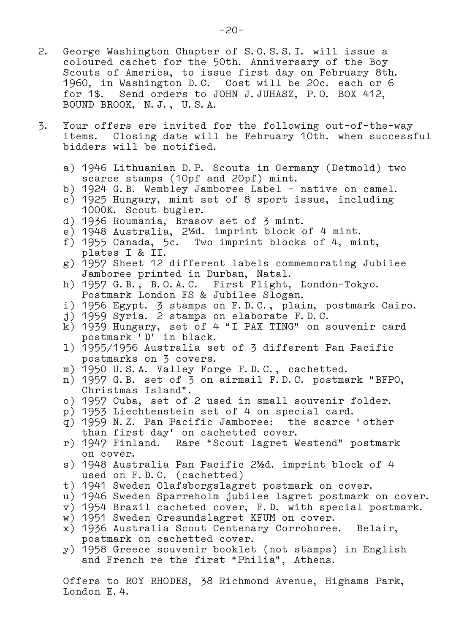- 2. George Washington Chapter of S.O.S.S.I. will issue a coloured cachet for the 50th. Anniversary of the Boy Scouts of America, to issue first day on February 8th. 1960, in Washington D.C. Cost will be 20c. each or 6 for 1\$. Send orders to JOHN J.JUHASZ, P.O. BOX 412, BOUND BROOK, N.J., U.S.A.
- 3. Your offers ere invited for the following out–of–the–way items. Closing date will be February 10th. when successful bidders will be notified.
	- a) 1946 Lithuanian D.P. Scouts in Germany (Detmold) two scarce stamps (10pf and 20pf) mint.
	- b) 1924 G.B. Wembley Jamboree Label native on camel.
	- c) 1925 Hungary, mint set of 8 sport issue, including 1000K. Scout bugler.
	- d) 1936 Roumania, Brasov set of 3 mint.
	- e) 1948 Australia, 2**½**d. imprint block of 4 mint.
	- f) 1955 Canada, 5c. Two imprint blocks of 4, mint, plates I & II.
	- g) 1957 Sheet 12 different labels commemorating Jubilee Jamboree printed in Durban, Natal.
	- h) 1957 G.B., B.O.A.C. First Flight, London–Tokyo. Postmark London FS & Jubilee Slogan.
	- i) 1956 Egypt. 3 stamps on F.D.C., plain, postmark Cairo.
	- j) 1959 Syria. 2 stamps on elaborate F.D.C.
	- k) 1939 Hungary, set of 4 "I PAX TING" on souvenir card postmark 'D' in black.
	- l) 1955/1956 Australia set of 3 different Pan Pacific postmarks on 3 covers.
	- m) 1950 U.S.A. Valley Forge F.D.C., cachetted.
	- n) 1957 G.B. set of 3 on airmail F.D.C. postmark "BFPO, Christmas Island".
	- o) 1957 Cuba, set of 2 used in small souvenir folder.
	- p) 1953 Liechtenstein set of 4 on special card.
	- q) 1959 N.Z. Pan Pacific Jamboree: the scarce 'other than first day' on cachetted cover.
	- r) 1947 Finland. Rare "Scout lagret Westend" postmark on cover.
	- s) 1948 Australia Pan Pacific 2**½**d. imprint block of 4 used on F.D.C. (cachetted)
	- t) 1941 Sweden Olafsborgslagret postmark on cover.
	- u) 1946 Sweden Sparreholm jubilee lagret postmark on cover.
	- v) 1954 Brazil cacheted cover, F.D. with special postmark.
	- w) 1951 Sweden Oresundslagret KFUM on cover.
	- x) 1936 Australia Scout Centenary Corroboree. Belair, postmark on cachetted cover.
	- y) 1958 Greece souvenir booklet (not stamps) in English and French re the first "Philia", Athens.

 Offers to ROY RHODES, 38 Richmond Avenue, Highams Park, London E.4.